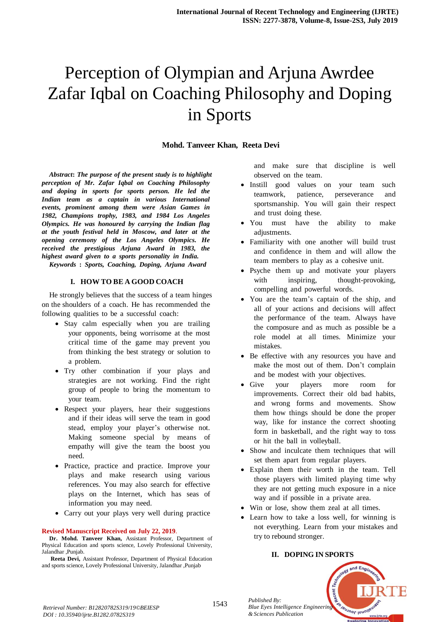# Perception of Olympian and Arjuna Awrdee Zafar Iqbal on Coaching Philosophy and Doping in Sports

# **Mohd. Tanveer Khan, Reeta Devi**

*Abstract***:** *The purpose of the present study is to highlight perception of Mr. Zafar Iqbal on Coaching Philosophy and doping in sports for sports person. He led the Indian team as a captain in various International events, prominent among them were Asian Games in I982, Champions trophy, 1983, and 1984 Los Angeles Olympics. He was honoured by carrying the Indian flag attheyouthfestivalheldinMoscow,andlateratthe opening ceremony of the Los Angeles Olympics. He received the prestigious Arjuna Award in* 1983, *the highest award given to a sports personality in India.* 

*KeywordsT* **:T** *Sports,T Coaching,T Doping,T ArjunaT Award*

#### **I. HOW TO BE A GOOD COACH**

He strongly believes that the success of a team hinges on the shoulders of a coach. He has recommended the following qualities to be a successful coach:

- Stay calm especially when you are trailing your opponents, being worrisome at the most critical time of the game may prevent you from thinking the best strategy or solution to a problem.
- Try other combination if your plays and strategies are not working. Find the right group of people to bring the momentum to your team.
- Respect your players, hear their suggestions and if their ideas will serve the team in good stead, employ your player's otherwise not. Making someone special by means of empathy will give the team the boost you need.
- $\bullet$  Practice, practice and practice. Improve your plays and make research using various references. You may also search for effective plays on the Internet, which has seas of information you may need.
- Carry out your plays very well during practice

#### **Revised Manuscript Received on July 22, 2019**.

**Dr. Mohd. Tanveer Khan,** Assistant Professor, Department of Physical Education and sports science, Lovely Professional University, Jalandhar ,Punjab.

**Reeta Devi,** Assistant Professor, Department of Physical Education and sports science, Lovely Professional University, Jalandhar ,Punjab

and make sure that discipline is well observed on the team.

- Instill good values on your team such teamwork, patience, perseverance and sportsmanship. You will gain their respect and trust doing these.
- You must have the ability to make adjustments.
- Familiarity with one another will build trust and confidence in them and will allow the team members to play as a cohesive unit.
- Psyche them up and motivate your players with inspiring, thought-provoking, compelling and powerful words.
- You are the team's captain of the ship, and all of your actions and decisions will affect the performance of the team. Always have the composure and as much as possible be a role model at all times. Minimize your mistakes
- Be effective with any resources you have and make the most out of them. Don't complain and be modest with your objectives.
- Give your players more room for improvements. Correct their old bad habits, and wrong forms and movements. Show them how things should be done the proper way, like for instance the correct shooting form in basketball, and the right way to toss or hit the ball in volleyball.
- Show and inculcate them techniques that will set them apart from regular players.
- Explain them their worth in the team. Tell those players with limited playing time why they are not getting much exposure in a nice way and if possible in a private area.
- Win or lose, show them zeal at all times.
- $\bullet$  Learn how to take a loss well, for winning is not everything. Learn from your mistakes and try to rebound stronger.

### **II. DOPING IN SPORTS**



*Retrieval Number: B12820782S319/19©BEIESP DOI : 10.35940/ijrte.B1282.0782S319*

*Blue Eyes Intelligence Engineering & Sciences Publication*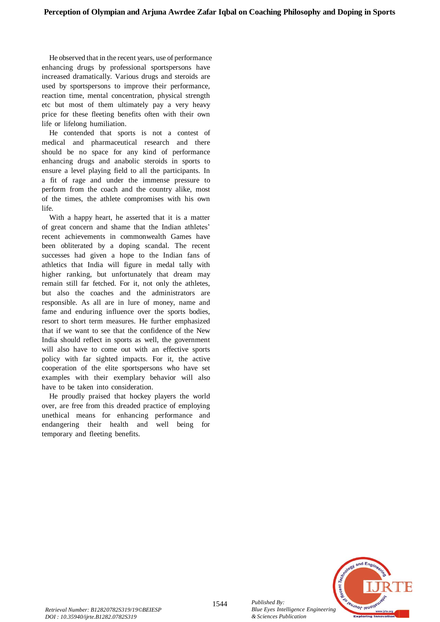He observed that in the recent years, use of performance enhancing drugs by professional sportspersons have increased dramatically. Various drugs and steroids are used by sportspersons to improve their performance, reaction time, mental concentration, physical strength etc but most of them ultimately pay a very heavy price for these fleeting benefits often with their own life or lifelong humiliation.

He contended that sports is not a contest of medical and pharmaceutical research and there should be no space for any kind of performance enhancing drugs and anabolic steroids in sports to ensure a level playing field to all the participants. In a fit of rage and under the immense pressure to perform from the coach and the country alike, most of the times, the athlete compromises with his own  $l$ ife.

With a happy heart, he asserted that it is a matter of great concern and shame that the Indian athletes' recent achievements in commonwealth Games have been obliterated by a doping scandal. The recent successes had given a hope to the Indian fans of athletics that India will figure in medal tally with higher ranking, but unfortunately that dream may remain still far fetched. For it, not only the athletes, but also the coaches and the administrators are responsible. As all are in lure of money, name and fame and enduring influence over the sports bodies, resort to short term measures. He further emphasized that if we want to see that the confidence of the New India should reflect in sports as well, the government will also have to come out with an effective sports policy with far sighted impacts. For it, the active cooperation of the elite sportspersons who have set examples with their exemplary behavior will also have to be taken into consideration.

He proudly praised that hockey players the world over, are free from this dreaded practice of employing unethical means for enhancing performance and endangering their health and well being for temporary and fleeting benefits.



1544 *Published By: Blue Eyes Intelligence Engineering & Sciences Publication*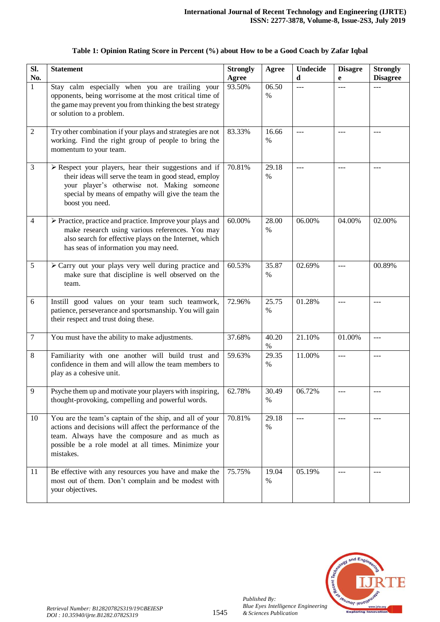| SI.<br>No.     | <b>Statement</b>                                                                                                                                                                                                                                      | <b>Strongly</b><br>Agree | Agree         | <b>Undecide</b><br>d | <b>Disagre</b><br>e | <b>Strongly</b><br><b>Disagree</b> |
|----------------|-------------------------------------------------------------------------------------------------------------------------------------------------------------------------------------------------------------------------------------------------------|--------------------------|---------------|----------------------|---------------------|------------------------------------|
| $\mathbf{1}$   | Stay calm especially when you are trailing your<br>opponents, being worrisome at the most critical time of<br>the game may prevent you from thinking the best strategy<br>or solution to a problem.                                                   | 93.50%                   | 06.50<br>$\%$ | $-$                  | $---$               | $---$                              |
| $\overline{2}$ | Try other combination if your plays and strategies are not<br>working. Find the right group of people to bring the<br>momentum to your team.                                                                                                          | 83.33%                   | 16.66<br>$\%$ | $---$                | $---$               | $---$                              |
| 3              | $\triangleright$ Respect your players, hear their suggestions and if<br>their ideas will serve the team in good stead, employ<br>your player's otherwise not. Making someone<br>special by means of empathy will give the team the<br>boost you need. | 70.81%                   | 29.18<br>$\%$ | ---                  | ---                 | $---$                              |
| $\overline{4}$ | > Practice, practice and practice. Improve your plays and<br>make research using various references. You may<br>also search for effective plays on the Internet, which<br>has seas of information you may need.                                       | 60.00%                   | 28.00<br>%    | 06.00%               | 04.00%              | 02.00%                             |
| 5              | > Carry out your plays very well during practice and<br>make sure that discipline is well observed on the<br>team.                                                                                                                                    | 60.53%                   | 35.87<br>$\%$ | 02.69%               | $ -$                | 00.89%                             |
| 6              | Instill good values on your team such teamwork,<br>patience, perseverance and sportsmanship. You will gain<br>their respect and trust doing these.                                                                                                    | 72.96%                   | 25.75<br>%    | 01.28%               | $\overline{a}$      | $---$                              |
| $\tau$         | You must have the ability to make adjustments.                                                                                                                                                                                                        | 37.68%                   | 40.20<br>$\%$ | 21.10%               | 01.00%              | $---$                              |
| 8              | Familiarity with one another will build trust and<br>confidence in them and will allow the team members to<br>play as a cohesive unit.                                                                                                                | 59.63%                   | 29.35<br>$\%$ | 11.00%               | $---$               | $---$                              |
| 9              | Psyche them up and motivate your players with inspiring,<br>thought-provoking, compelling and powerful words.                                                                                                                                         | 62.78%                   | 30.49<br>$\%$ | 06.72%               |                     |                                    |
| 10             | You are the team's captain of the ship, and all of your<br>actions and decisions will affect the performance of the<br>team. Always have the composure and as much as<br>possible be a role model at all times. Minimize your<br>mistakes.            | 70.81%                   | 29.18<br>$\%$ | $---$                | $---$               | $---$                              |
| 11             | Be effective with any resources you have and make the<br>most out of them. Don't complain and be modest with<br>your objectives.                                                                                                                      | 75.75%                   | 19.04<br>$\%$ | 05.19%               |                     |                                    |

# **Table 1: Opinion Rating Score in Percent (%) about How to be a Good Coach by Zafar Iqbal**



*Published By:*

*& Sciences Publication*